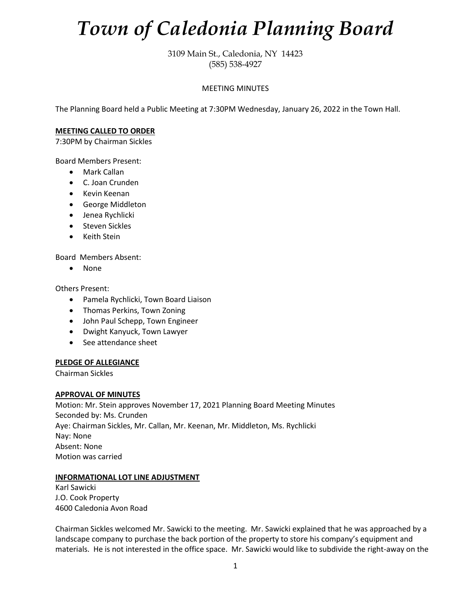# *Town of Caledonia Planning Board*

3109 Main St., Caledonia, NY 14423 (585) 538-4927

## MEETING MINUTES

The Planning Board held a Public Meeting at 7:30PM Wednesday, January 26, 2022 in the Town Hall.

#### **MEETING CALLED TO ORDER**

7:30PM by Chairman Sickles

Board Members Present:

- Mark Callan
- C. Joan Crunden
- Kevin Keenan
- George Middleton
- Jenea Rychlicki
- Steven Sickles
- Keith Stein

Board Members Absent:

• None

Others Present:

- Pamela Rychlicki, Town Board Liaison
- Thomas Perkins, Town Zoning
- John Paul Schepp, Town Engineer
- Dwight Kanyuck, Town Lawyer
- See attendance sheet

#### **PLEDGE OF ALLEGIANCE**

Chairman Sickles

#### **APPROVAL OF MINUTES**

Motion: Mr. Stein approves November 17, 2021 Planning Board Meeting Minutes Seconded by: Ms. Crunden Aye: Chairman Sickles, Mr. Callan, Mr. Keenan, Mr. Middleton, Ms. Rychlicki Nay: None Absent: None Motion was carried

#### **INFORMATIONAL LOT LINE ADJUSTMENT**

Karl Sawicki J.O. Cook Property 4600 Caledonia Avon Road

Chairman Sickles welcomed Mr. Sawicki to the meeting. Mr. Sawicki explained that he was approached by a landscape company to purchase the back portion of the property to store his company's equipment and materials. He is not interested in the office space. Mr. Sawicki would like to subdivide the right-away on the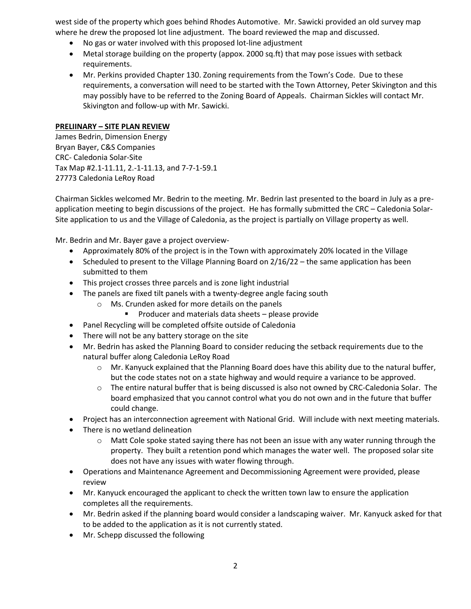west side of the property which goes behind Rhodes Automotive. Mr. Sawicki provided an old survey map where he drew the proposed lot line adjustment. The board reviewed the map and discussed.

- No gas or water involved with this proposed lot-line adjustment
- Metal storage building on the property (appox. 2000 sq.ft) that may pose issues with setback requirements.
- Mr. Perkins provided Chapter 130. Zoning requirements from the Town's Code. Due to these requirements, a conversation will need to be started with the Town Attorney, Peter Skivington and this may possibly have to be referred to the Zoning Board of Appeals. Chairman Sickles will contact Mr. Skivington and follow-up with Mr. Sawicki.

## **PRELIINARY – SITE PLAN REVIEW**

James Bedrin, Dimension Energy Bryan Bayer, C&S Companies CRC- Caledonia Solar-Site Tax Map #2.1-11.11, 2.-1-11.13, and 7-7-1-59.1 27773 Caledonia LeRoy Road

Chairman Sickles welcomed Mr. Bedrin to the meeting. Mr. Bedrin last presented to the board in July as a preapplication meeting to begin discussions of the project. He has formally submitted the CRC – Caledonia Solar-Site application to us and the Village of Caledonia, as the project is partially on Village property as well.

Mr. Bedrin and Mr. Bayer gave a project overview-

- Approximately 80% of the project is in the Town with approximately 20% located in the Village
- Scheduled to present to the Village Planning Board on 2/16/22 the same application has been submitted to them
- This project crosses three parcels and is zone light industrial
- The panels are fixed tilt panels with a twenty-degree angle facing south
	- o Ms. Crunden asked for more details on the panels
		- Producer and materials data sheets please provide
- Panel Recycling will be completed offsite outside of Caledonia
- There will not be any battery storage on the site
- Mr. Bedrin has asked the Planning Board to consider reducing the setback requirements due to the natural buffer along Caledonia LeRoy Road
	- $\circ$  Mr. Kanyuck explained that the Planning Board does have this ability due to the natural buffer, but the code states not on a state highway and would require a variance to be approved.
	- $\circ$  The entire natural buffer that is being discussed is also not owned by CRC-Caledonia Solar. The board emphasized that you cannot control what you do not own and in the future that buffer could change.
- Project has an interconnection agreement with National Grid. Will include with next meeting materials.
- There is no wetland delineation
	- $\circ$  Matt Cole spoke stated saying there has not been an issue with any water running through the property. They built a retention pond which manages the water well. The proposed solar site does not have any issues with water flowing through.
- Operations and Maintenance Agreement and Decommissioning Agreement were provided, please review
- Mr. Kanyuck encouraged the applicant to check the written town law to ensure the application completes all the requirements.
- Mr. Bedrin asked if the planning board would consider a landscaping waiver. Mr. Kanyuck asked for that to be added to the application as it is not currently stated.
- Mr. Schepp discussed the following